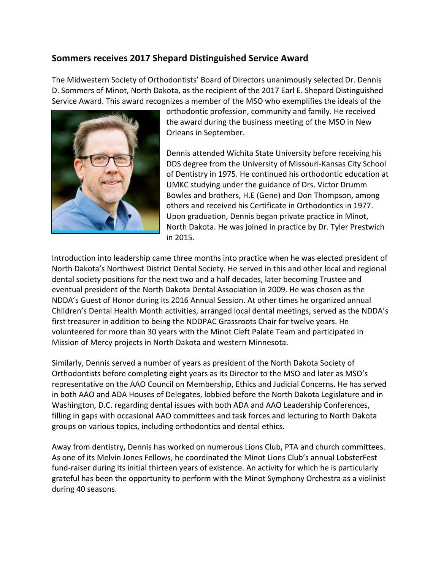## **Sommers receives 2017 Shepard Distinguished Service Award**

The Midwestern Society of Orthodontists' Board of Directors unanimously selected Dr. Dennis D. Sommers of Minot, North Dakota, as the recipient of the 2017 Earl E. Shepard Distinguished Service Award. This award recognizes a member of the MSO who exemplifies the ideals of the



orthodontic profession, community and family. He received the award during the business meeting of the MSO in New Orleans in September.

Dennis attended Wichita State University before receiving his DDS degree from the University of Missouri-Kansas City School of Dentistry in 1975. He continued his orthodontic education at UMKC studying under the guidance of Drs. Victor Drumm Bowles and brothers, H.E (Gene) and Don Thompson, among others and received his Certificate in Orthodontics in 1977. Upon graduation, Dennis began private practice in Minot, North Dakota. He was joined in practice by Dr. Tyler Prestwich in 2015.

Introduction into leadership came three months into practice when he was elected president of North Dakota's Northwest District Dental Society. He served in this and other local and regional dental society positions for the next two and a half decades, later becoming Trustee and eventual president of the North Dakota Dental Association in 2009. He was chosen as the NDDA's Guest of Honor during its 2016 Annual Session. At other times he organized annual Children's Dental Health Month activities, arranged local dental meetings, served as the NDDA's first treasurer in addition to being the NDDPAC Grassroots Chair for twelve years. He volunteered for more than 30 years with the Minot Cleft Palate Team and participated in Mission of Mercy projects in North Dakota and western Minnesota.

Similarly, Dennis served a number of years as president of the North Dakota Society of Orthodontists before completing eight years as its Director to the MSO and later as MSO's representative on the AAO Council on Membership, Ethics and Judicial Concerns. He has served in both AAO and ADA Houses of Delegates, lobbied before the North Dakota Legislature and in Washington, D.C. regarding dental issues with both ADA and AAO Leadership Conferences, filling in gaps with occasional AAO committees and task forces and lecturing to North Dakota groups on various topics, including orthodontics and dental ethics.

Away from dentistry, Dennis has worked on numerous Lions Club, PTA and church committees. As one of its Melvin Jones Fellows, he coordinated the Minot Lions Club's annual LobsterFest fund-raiser during its initial thirteen years of existence. An activity for which he is particularly grateful has been the opportunity to perform with the Minot Symphony Orchestra as a violinist during 40 seasons.